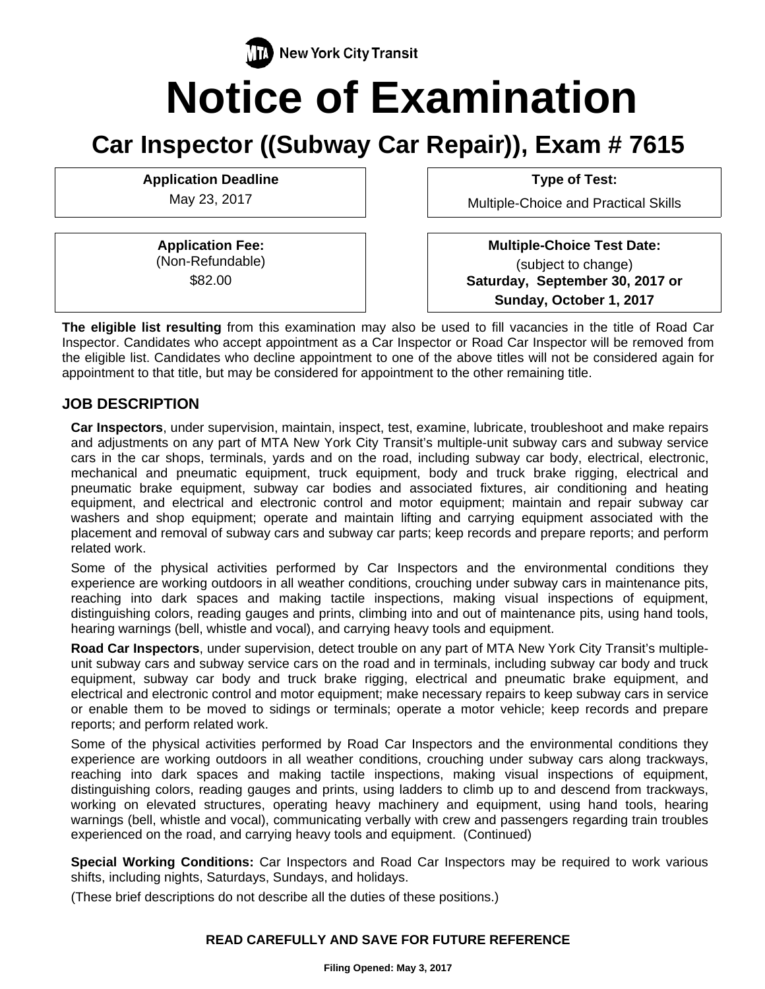# **New York City Transit Notice of Examination**

# **Car Inspector ((Subway Car Repair)), Exam # 7615**

**Application Deadline Type of Test:** 

**Application Fee:**  (Non-Refundable) \$82.00

May 23, 2017 **Multiple-Choice and Practical Skills** 

 **Multiple-Choice Test Date:** (subject to change) **Saturday, September 30, 2017 or Sunday, October 1, 2017** 

**The eligible list resulting** from this examination may also be used to fill vacancies in the title of Road Car Inspector. Candidates who accept appointment as a Car Inspector or Road Car Inspector will be removed from the eligible list. Candidates who decline appointment to one of the above titles will not be considered again for appointment to that title, but may be considered for appointment to the other remaining title.

# **JOB DESCRIPTION**

**Car Inspectors**, under supervision, maintain, inspect, test, examine, lubricate, troubleshoot and make repairs and adjustments on any part of MTA New York City Transit's multiple-unit subway cars and subway service cars in the car shops, terminals, yards and on the road, including subway car body, electrical, electronic, mechanical and pneumatic equipment, truck equipment, body and truck brake rigging, electrical and pneumatic brake equipment, subway car bodies and associated fixtures, air conditioning and heating equipment, and electrical and electronic control and motor equipment; maintain and repair subway car washers and shop equipment; operate and maintain lifting and carrying equipment associated with the placement and removal of subway cars and subway car parts; keep records and prepare reports; and perform related work.

Some of the physical activities performed by Car Inspectors and the environmental conditions they experience are working outdoors in all weather conditions, crouching under subway cars in maintenance pits, reaching into dark spaces and making tactile inspections, making visual inspections of equipment, distinguishing colors, reading gauges and prints, climbing into and out of maintenance pits, using hand tools, hearing warnings (bell, whistle and vocal), and carrying heavy tools and equipment.

**Road Car Inspectors**, under supervision, detect trouble on any part of MTA New York City Transit's multipleunit subway cars and subway service cars on the road and in terminals, including subway car body and truck equipment, subway car body and truck brake rigging, electrical and pneumatic brake equipment, and electrical and electronic control and motor equipment; make necessary repairs to keep subway cars in service or enable them to be moved to sidings or terminals; operate a motor vehicle; keep records and prepare reports; and perform related work.

Some of the physical activities performed by Road Car Inspectors and the environmental conditions they experience are working outdoors in all weather conditions, crouching under subway cars along trackways, reaching into dark spaces and making tactile inspections, making visual inspections of equipment, distinguishing colors, reading gauges and prints, using ladders to climb up to and descend from trackways, working on elevated structures, operating heavy machinery and equipment, using hand tools, hearing warnings (bell, whistle and vocal), communicating verbally with crew and passengers regarding train troubles experienced on the road, and carrying heavy tools and equipment.(Continued)

**Special Working Conditions:** Car Inspectors and Road Car Inspectors may be required to work various shifts, including nights, Saturdays, Sundays, and holidays.

(These brief descriptions do not describe all the duties of these positions.)

#### **READ CAREFULLY AND SAVE FOR FUTURE REFERENCE**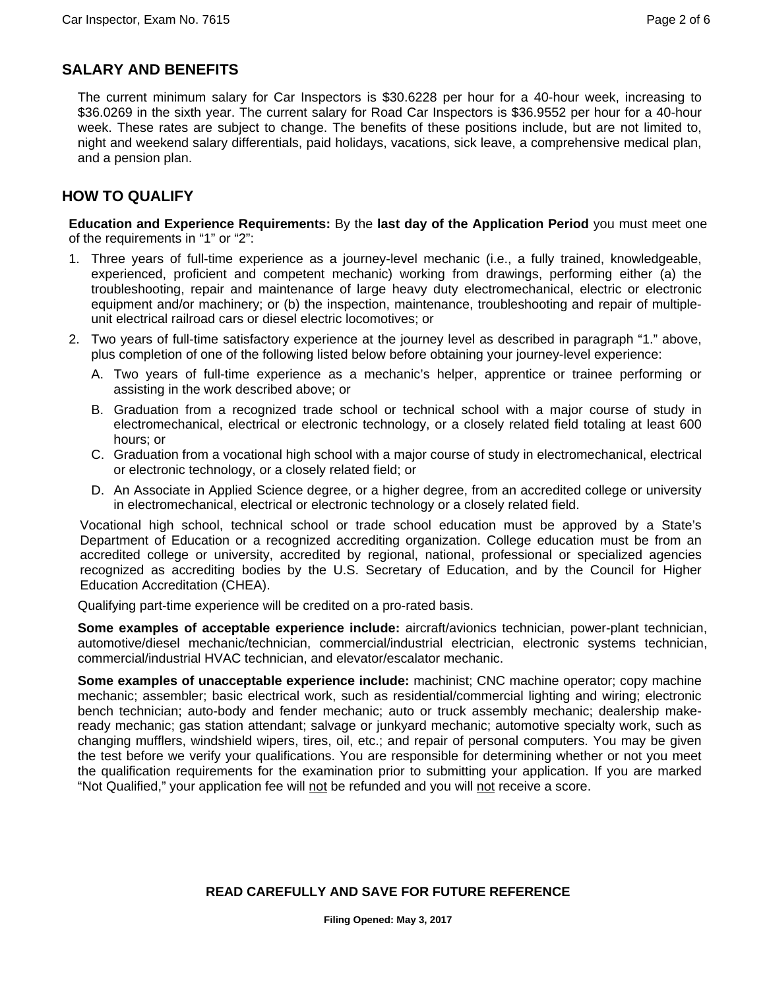# **SALARY AND BENEFITS**

The current minimum salary for Car Inspectors is \$30.6228 per hour for a 40-hour week, increasing to \$36.0269 in the sixth year. The current salary for Road Car Inspectors is \$36.9552 per hour for a 40-hour week. These rates are subject to change. The benefits of these positions include, but are not limited to, night and weekend salary differentials, paid holidays, vacations, sick leave, a comprehensive medical plan, and a pension plan.

# **HOW TO QUALIFY**

**Education and Experience Requirements:** By the **last day of the Application Period** you must meet one of the requirements in "1" or "2":

- 1. Three years of full-time experience as a journey-level mechanic (i.e., a fully trained, knowledgeable, experienced, proficient and competent mechanic) working from drawings, performing either (a) the troubleshooting, repair and maintenance of large heavy duty electromechanical, electric or electronic equipment and/or machinery; or (b) the inspection, maintenance, troubleshooting and repair of multipleunit electrical railroad cars or diesel electric locomotives; or
- 2. Two years of full-time satisfactory experience at the journey level as described in paragraph "1." above, plus completion of one of the following listed below before obtaining your journey-level experience:
	- A. Two years of full-time experience as a mechanic's helper, apprentice or trainee performing or assisting in the work described above; or
	- B. Graduation from a recognized trade school or technical school with a major course of study in electromechanical, electrical or electronic technology, or a closely related field totaling at least 600 hours; or
	- C. Graduation from a vocational high school with a major course of study in electromechanical, electrical or electronic technology, or a closely related field; or
	- D. An Associate in Applied Science degree, or a higher degree, from an accredited college or university in electromechanical, electrical or electronic technology or a closely related field.

Vocational high school, technical school or trade school education must be approved by a State's Department of Education or a recognized accrediting organization. College education must be from an accredited college or university, accredited by regional, national, professional or specialized agencies recognized as accrediting bodies by the U.S. Secretary of Education, and by the Council for Higher Education Accreditation (CHEA).

Qualifying part-time experience will be credited on a pro-rated basis.

**Some examples of acceptable experience include:** aircraft/avionics technician, power-plant technician, automotive/diesel mechanic/technician, commercial/industrial electrician, electronic systems technician, commercial/industrial HVAC technician, and elevator/escalator mechanic.

**Some examples of unacceptable experience include:** machinist; CNC machine operator; copy machine mechanic; assembler; basic electrical work, such as residential/commercial lighting and wiring; electronic bench technician; auto-body and fender mechanic; auto or truck assembly mechanic; dealership makeready mechanic; gas station attendant; salvage or junkyard mechanic; automotive specialty work, such as changing mufflers, windshield wipers, tires, oil, etc.; and repair of personal computers. You may be given the test before we verify your qualifications. You are responsible for determining whether or not you meet the qualification requirements for the examination prior to submitting your application. If you are marked "Not Qualified," your application fee will not be refunded and you will not receive a score.

#### **READ CAREFULLY AND SAVE FOR FUTURE REFERENCE**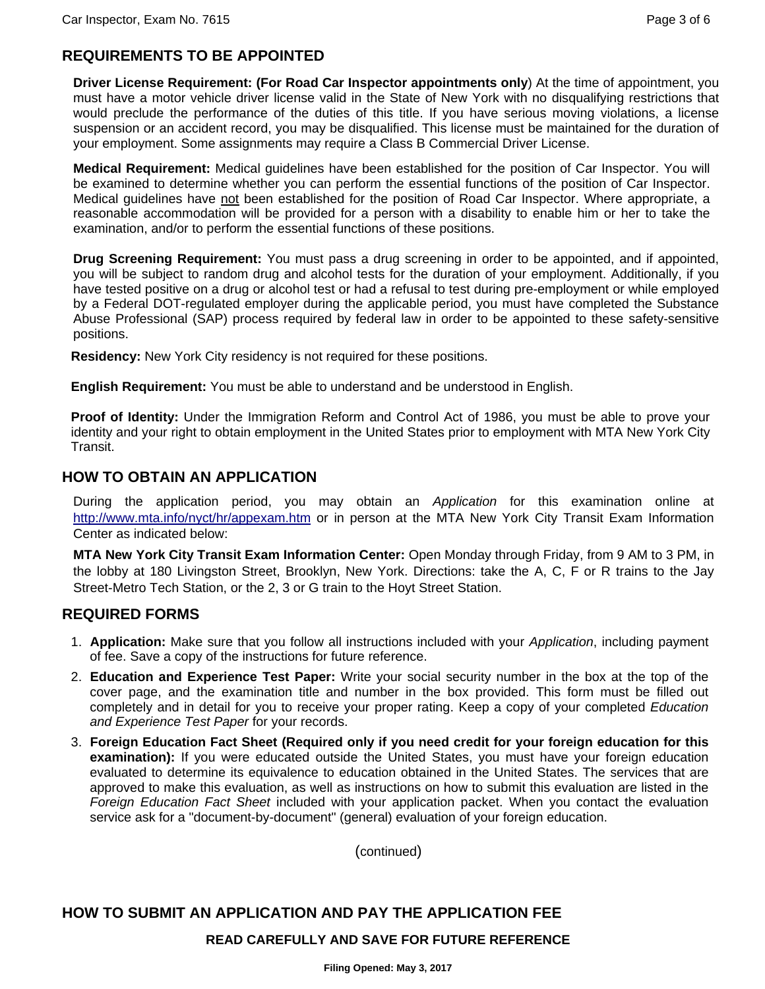# **REQUIREMENTS TO BE APPOINTED**

**Driver License Requirement: (For Road Car Inspector appointments only**) At the time of appointment, you must have a motor vehicle driver license valid in the State of New York with no disqualifying restrictions that would preclude the performance of the duties of this title. If you have serious moving violations, a license suspension or an accident record, you may be disqualified. This license must be maintained for the duration of your employment. Some assignments may require a Class B Commercial Driver License.

**Medical Requirement:** Medical guidelines have been established for the position of Car Inspector. You will be examined to determine whether you can perform the essential functions of the position of Car Inspector. Medical guidelines have not been established for the position of Road Car Inspector. Where appropriate, a reasonable accommodation will be provided for a person with a disability to enable him or her to take the examination, and/or to perform the essential functions of these positions.

**Drug Screening Requirement:** You must pass a drug screening in order to be appointed, and if appointed, you will be subject to random drug and alcohol tests for the duration of your employment. Additionally, if you have tested positive on a drug or alcohol test or had a refusal to test during pre-employment or while employed by a Federal DOT-regulated employer during the applicable period, you must have completed the Substance Abuse Professional (SAP) process required by federal law in order to be appointed to these safety-sensitive positions.

**Residency:** New York City residency is not required for these positions.

**English Requirement:** You must be able to understand and be understood in English.

**Proof of Identity:** Under the Immigration Reform and Control Act of 1986, you must be able to prove your identity and your right to obtain employment in the United States prior to employment with MTA New York City Transit.

## **HOW TO OBTAIN AN APPLICATION**

During the application period, you may obtain an *Application* for this examination online at http://www.mta.info/nyct/hr/appexam.htm or in person at the MTA New York City Transit Exam Information Center as indicated below:

**MTA New York City Transit Exam Information Center:** Open Monday through Friday, from 9 AM to 3 PM, in the lobby at 180 Livingston Street, Brooklyn, New York. Directions: take the A, C, F or R trains to the Jay Street-Metro Tech Station, or the 2, 3 or G train to the Hoyt Street Station.

#### **REQUIRED FORMS**

- 1. **Application:** Make sure that you follow all instructions included with your *Application*, including payment of fee. Save a copy of the instructions for future reference.
- 2. **Education and Experience Test Paper:** Write your social security number in the box at the top of the cover page, and the examination title and number in the box provided. This form must be filled out completely and in detail for you to receive your proper rating. Keep a copy of your completed *Education and Experience Test Paper* for your records.
- 3. **Foreign Education Fact Sheet (Required only if you need credit for your foreign education for this examination):** If you were educated outside the United States, you must have your foreign education evaluated to determine its equivalence to education obtained in the United States. The services that are approved to make this evaluation, as well as instructions on how to submit this evaluation are listed in the *Foreign Education Fact Sheet* included with your application packet. When you contact the evaluation service ask for a "document-by-document" (general) evaluation of your foreign education.

(continued)

# **HOW TO SUBMIT AN APPLICATION AND PAY THE APPLICATION FEE**

#### **READ CAREFULLY AND SAVE FOR FUTURE REFERENCE**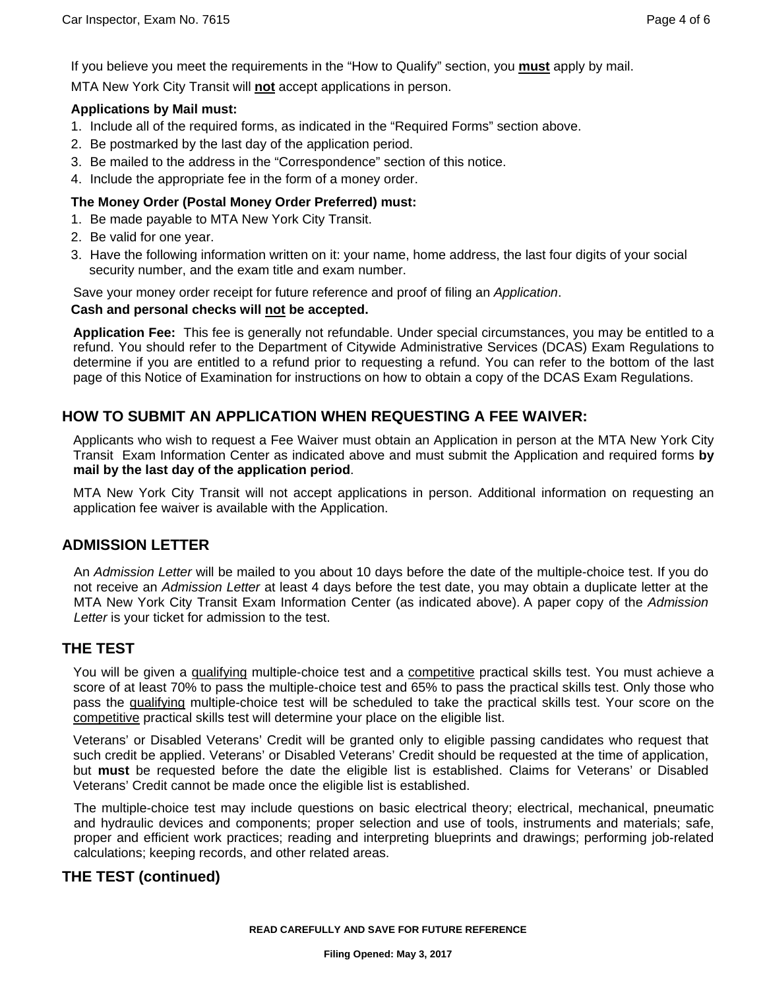If you believe you meet the requirements in the "How to Qualify" section, you **must** apply by mail.

MTA New York City Transit will **not** accept applications in person.

#### **Applications by Mail must:**

- 1. Include all of the required forms, as indicated in the "Required Forms" section above.
- 2. Be postmarked by the last day of the application period.
- 3. Be mailed to the address in the "Correspondence" section of this notice.
- 4. Include the appropriate fee in the form of a money order.

#### **The Money Order (Postal Money Order Preferred) must:**

- 1. Be made payable to MTA New York City Transit.
- 2. Be valid for one year.
- 3. Have the following information written on it: your name, home address, the last four digits of your social security number, and the exam title and exam number.

Save your money order receipt for future reference and proof of filing an *Application*.

#### **Cash and personal checks will not be accepted.**

**Application Fee:** This fee is generally not refundable. Under special circumstances, you may be entitled to a refund. You should refer to the Department of Citywide Administrative Services (DCAS) Exam Regulations to determine if you are entitled to a refund prior to requesting a refund. You can refer to the bottom of the last page of this Notice of Examination for instructions on how to obtain a copy of the DCAS Exam Regulations.

# **HOW TO SUBMIT AN APPLICATION WHEN REQUESTING A FEE WAIVER:**

Applicants who wish to request a Fee Waiver must obtain an Application in person at the MTA New York City Transit Exam Information Center as indicated above and must submit the Application and required forms **by mail by the last day of the application period**.

MTA New York City Transit will not accept applications in person. Additional information on requesting an application fee waiver is available with the Application.

# **ADMISSION LETTER**

An *Admission Letter* will be mailed to you about 10 days before the date of the multiple-choice test. If you do not receive an *Admission Letter* at least 4 days before the test date, you may obtain a duplicate letter at the MTA New York City Transit Exam Information Center (as indicated above). A paper copy of the *Admission Letter* is your ticket for admission to the test.

# **THE TEST**

You will be given a qualifying multiple-choice test and a competitive practical skills test. You must achieve a score of at least 70% to pass the multiple-choice test and 65% to pass the practical skills test. Only those who pass the qualifying multiple-choice test will be scheduled to take the practical skills test. Your score on the competitive practical skills test will determine your place on the eligible list.

Veterans' or Disabled Veterans' Credit will be granted only to eligible passing candidates who request that such credit be applied. Veterans' or Disabled Veterans' Credit should be requested at the time of application, but **must** be requested before the date the eligible list is established. Claims for Veterans' or Disabled Veterans' Credit cannot be made once the eligible list is established.

The multiple-choice test may include questions on basic electrical theory; electrical, mechanical, pneumatic and hydraulic devices and components; proper selection and use of tools, instruments and materials; safe, proper and efficient work practices; reading and interpreting blueprints and drawings; performing job-related calculations; keeping records, and other related areas.

# **THE TEST (continued)**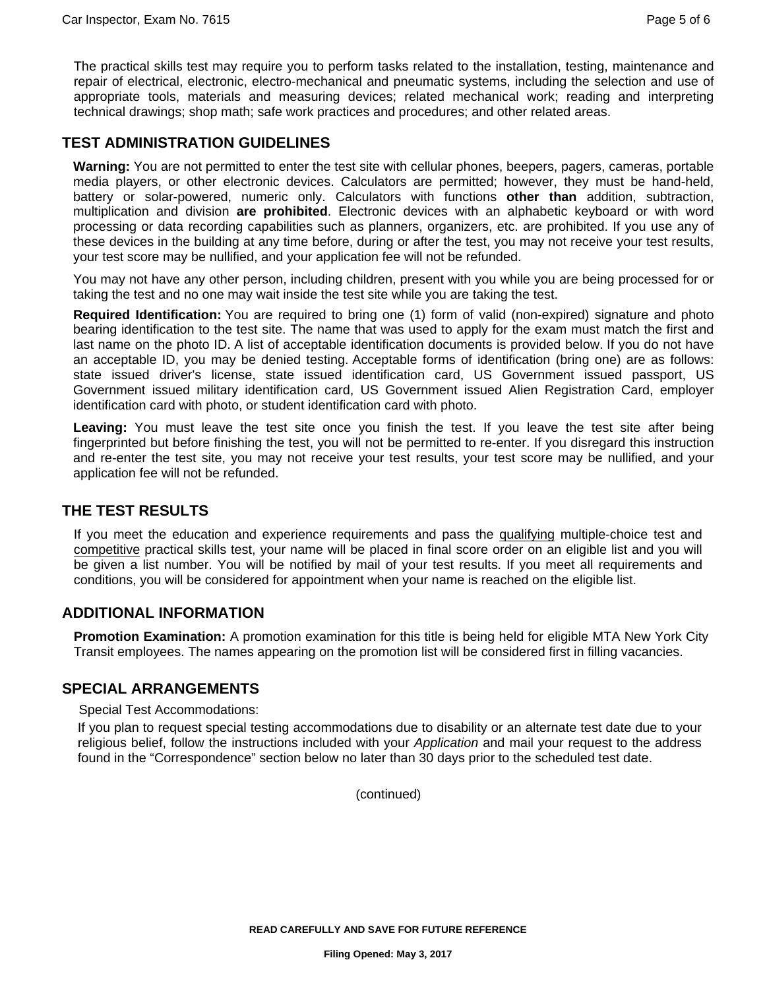The practical skills test may require you to perform tasks related to the installation, testing, maintenance and repair of electrical, electronic, electro-mechanical and pneumatic systems, including the selection and use of appropriate tools, materials and measuring devices; related mechanical work; reading and interpreting technical drawings; shop math; safe work practices and procedures; and other related areas.

# **TEST ADMINISTRATION GUIDELINES**

**Warning:** You are not permitted to enter the test site with cellular phones, beepers, pagers, cameras, portable media players, or other electronic devices. Calculators are permitted; however, they must be hand-held, battery or solar-powered, numeric only. Calculators with functions **other than** addition, subtraction, multiplication and division **are prohibited**. Electronic devices with an alphabetic keyboard or with word processing or data recording capabilities such as planners, organizers, etc. are prohibited. If you use any of these devices in the building at any time before, during or after the test, you may not receive your test results, your test score may be nullified, and your application fee will not be refunded.

You may not have any other person, including children, present with you while you are being processed for or taking the test and no one may wait inside the test site while you are taking the test.

**Required Identification:** You are required to bring one (1) form of valid (non-expired) signature and photo bearing identification to the test site. The name that was used to apply for the exam must match the first and last name on the photo ID. A list of acceptable identification documents is provided below. If you do not have an acceptable ID, you may be denied testing. Acceptable forms of identification (bring one) are as follows: state issued driver's license, state issued identification card, US Government issued passport, US Government issued military identification card, US Government issued Alien Registration Card, employer identification card with photo, or student identification card with photo.

**Leaving:** You must leave the test site once you finish the test. If you leave the test site after being fingerprinted but before finishing the test, you will not be permitted to re-enter. If you disregard this instruction and re-enter the test site, you may not receive your test results, your test score may be nullified, and your application fee will not be refunded.

# **THE TEST RESULTS**

If you meet the education and experience requirements and pass the qualifying multiple-choice test and competitive practical skills test, your name will be placed in final score order on an eligible list and you will be given a list number. You will be notified by mail of your test results. If you meet all requirements and conditions, you will be considered for appointment when your name is reached on the eligible list.

# **ADDITIONAL INFORMATION**

**Promotion Examination:** A promotion examination for this title is being held for eligible MTA New York City Transit employees. The names appearing on the promotion list will be considered first in filling vacancies.

#### **SPECIAL ARRANGEMENTS**

Special Test Accommodations:

If you plan to request special testing accommodations due to disability or an alternate test date due to your religious belief, follow the instructions included with your *Application* and mail your request to the address found in the "Correspondence" section below no later than 30 days prior to the scheduled test date.

(continued)